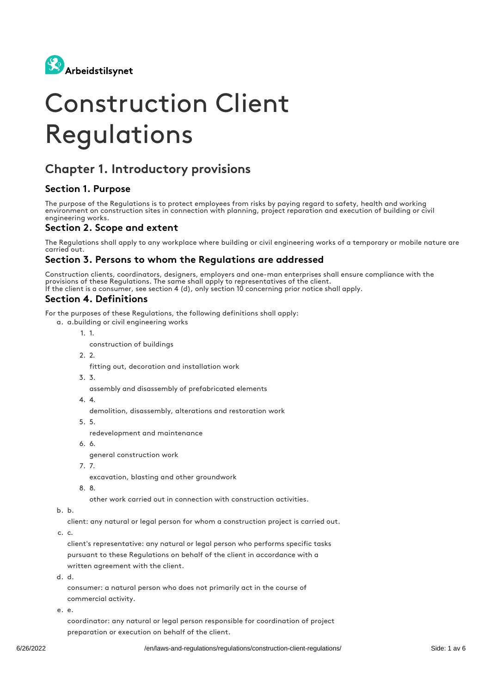

# Construction Client Regulations

# Chapter 1. Introductory provisions

#### Section 1. Purpose

The purpose of the Regulations is to protect employees from risks by paying regard to safety, health and working environment on construction sites in connection with planning, project reparation and execution of building or civil engineering works.

#### Section 2. Scope and extent

The Regulations shall apply to any workplace where building or civil engineering works of a temporary or mobile nature are carried out.

#### Section 3. Persons to whom the Regulations are addressed

Construction clients, coordinators, designers, employers and one-man enterprises shall ensure compliance with the provisions of these Regulations. The same shall apply to representatives of the client. If the client is a consumer, see section 4 (d), only section 10 concerning prior notice shall apply.

#### Section 4. Definitions

For the purposes of these Regulations, the following definitions shall apply:

- a. a.building or civil engineering works
	- 1. 1.
		- construction of buildings
	- 2. 2.

fitting out, decoration and installation work

- 3. 3.
	- assembly and disassembly of prefabricated elements
- 4. 4.

demolition, disassembly, alterations and restoration work

5. 5.

redevelopment and maintenance

6. 6.

general construction work

7. 7.

excavation, blasting and other groundwork

8. 8.

other work carried out in connection with construction activities.

b. b.

client: any natural or legal person for whom a construction project is carried out.

c. c.

client's representative: any natural or legal person who performs specific tasks pursuant to these Regulations on behalf of the client in accordance with a written agreement with the client.

d. d.

consumer: a natural person who does not primarily act in the course of commercial activity.

e. e.

coordinator: any natural or legal person responsible for coordination of project preparation or execution on behalf of the client.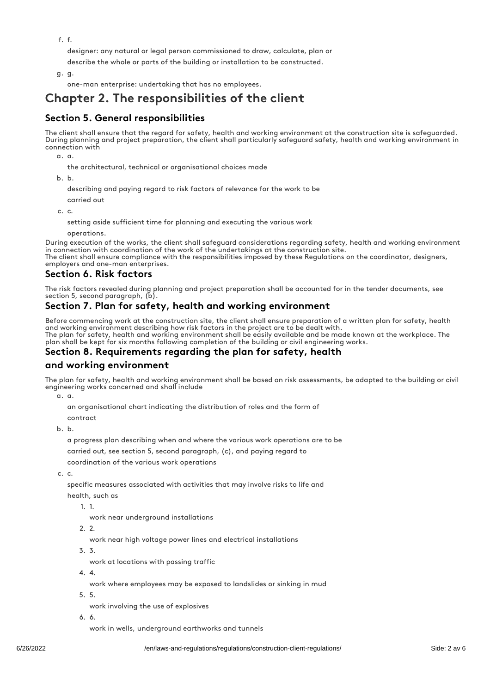f. f.

designer: any natural or legal person commissioned to draw, calculate, plan or

describe the whole or parts of the building or installation to be constructed.

g. g.

one-man enterprise: undertaking that has no employees.

## Chapter 2. The responsibilities of the client

#### Section 5. General responsibilities

The client shall ensure that the regard for safety, health and working environment at the construction site is safeguarded. During planning and project preparation, the client shall particularly safeguard safety, health and working environment in connection with

a. a.

the architectural, technical or organisational choices made

b. b.

describing and paying regard to risk factors of relevance for the work to be

carried out

c. c.

setting aside sufficient time for planning and executing the various work

operations.

During execution of the works, the client shall safeguard considerations regarding safety, health and working environment in connection with coordination of the work of the undertakings at the construction site. The client shall ensure compliance with the responsibilities imposed by these Regulations on the coordinator, designers, employers and one-man enterprises.

#### Section 6. Risk factors

The risk factors revealed during planning and project preparation shall be accounted for in the tender documents, see section 5, second paragraph, (b).

#### Section 7. Plan for safety, health and working environment

Before commencing work at the construction site, the client shall ensure preparation of a written plan for safety, health and working environment describing how risk factors in the project are to be dealt with. The plan for safety, health and working environment shall be easily available and be made known at the workplace. The plan shall be kept for six months following completion of the building or civil engineering works.

#### Section 8. Requirements regarding the plan for safety, health

#### and working environment

The plan for safety, health and working environment shall be based on risk assessments, be adapted to the building or civil engineering works concerned and shall include

a. a.

an organisational chart indicating the distribution of roles and the form of contract

b. b.

a progress plan describing when and where the various work operations are to be

carried out, see section 5, second paragraph, (c), and paying regard to

coordination of the various work operations

c. c.

specific measures associated with activities that may involve risks to life and

health, such as

1. 1.

work near underground installations

2. 2.

work near high voltage power lines and electrical installations

3. 3. work at locations with passing traffic

4. 4.

work where employees may be exposed to landslides or sinking in mud

5. 5.

work involving the use of explosives

6. 6.

work in wells, underground earthworks and tunnels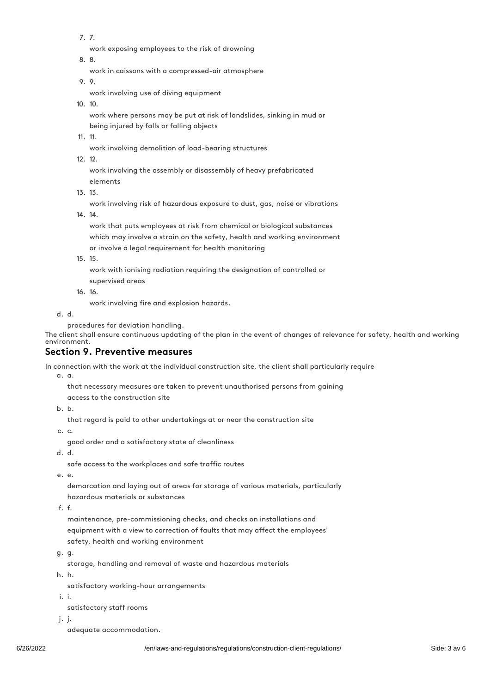7. 7.

work exposing employees to the risk of drowning

8. 8.

work in caissons with a compressed-air atmosphere

9. 9.

work involving use of diving equipment

10. 10.

work where persons may be put at risk of landslides, sinking in mud or being injured by falls or falling objects

11. 11.

work involving demolition of load-bearing structures

12. 12.

work involving the assembly or disassembly of heavy prefabricated elements

13. 13.

work involving risk of hazardous exposure to dust, gas, noise or vibrations

14. 14.

work that puts employees at risk from chemical or biological substances which may involve a strain on the safety, health and working environment or involve a legal requirement for health monitoring

15. 15.

work with ionising radiation requiring the designation of controlled or supervised areas

16. 16.

work involving fire and explosion hazards.

d. d.

procedures for deviation handling.

The client shall ensure continuous updating of the plan in the event of changes of relevance for safety, health and working environment.

#### Section 9. Preventive measures

In connection with the work at the individual construction site, the client shall particularly require

a. a.

that necessary measures are taken to prevent unauthorised persons from gaining

access to the construction site

b. b.

that regard is paid to other undertakings at or near the construction site

c. c.

good order and a satisfactory state of cleanliness

d. d.

safe access to the workplaces and safe traffic routes

e. e.

demarcation and laying out of areas for storage of various materials, particularly hazardous materials or substances

f. f.

maintenance, pre-commissioning checks, and checks on installations and equipment with a view to correction of faults that may affect the employees' safety, health and working environment

g. g.

storage, handling and removal of waste and hazardous materials

h. h.

satisfactory working-hour arrangements

i. i.

satisfactory staff rooms

j. j.

adequate accommodation.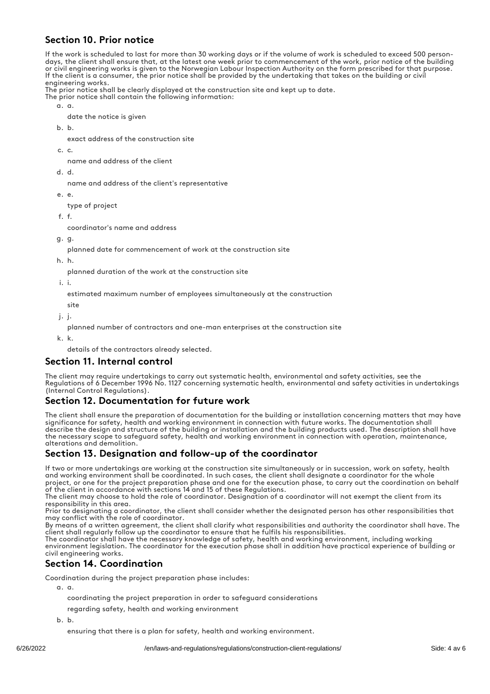#### Section 10. Prior notice

If the work is scheduled to last for more than 30 working days or if the volume of work is scheduled to exceed 500 persondays, the client shall ensure that, at the latest one week prior to commencement of the work, prior notice of the building or civil engineering works is given to the Norwegian Labour Inspection Authority on the form prescribed for that purpose. If the client is a consumer, the prior notice shall be provided by the undertaking that takes on the building or civil engineering works.

The prior notice shall be clearly displayed at the construction site and kept up to date.

- The prior notice shall contain the following information:
	- a. a.
		- date the notice is given
	- b. b.

exact address of the construction site

c. c.

name and address of the client

d. d.

name and address of the client's representative

e. e.

type of project

f. f.

coordinator's name and address

g. g.

planned date for commencement of work at the construction site

h. h.

planned duration of the work at the construction site

i. i.

estimated maximum number of employees simultaneously at the construction

site

j. j. planned number of contractors and one-man enterprises at the construction site

k. k.

details of the contractors already selected.

#### Section 11. Internal control

The client may require undertakings to carry out systematic health, environmental and safety activities, see the Regulations of 6 December 1996 No. 1127 concerning systematic health, environmental and safety activities in undertakings (Internal Control Regulations).

#### Section 12. Documentation for future work

The client shall ensure the preparation of documentation for the building or installation concerning matters that may have significance for safety, health and working environment in connection with future works. The documentation shall describe the design and structure of the building or installation and the building products used. The description shall have the necessary scope to safeguard safety, health and working environment in connection with operation, maintenance, alterations and demolition.

#### Section 13. Designation and follow-up of the coordinator

If two or more undertakings are working at the construction site simultaneously or in succession, work on safety, health and working environment shall be coordinated. In such cases, the client shall designate a coordinator for the whole project, or one for the project preparation phase and one for the execution phase, to carry out the coordination on behalf of the client in accordance with sections 14 and 15 of these Regulations.

The client may choose to hold the role of coordinator. Designation of a coordinator will not exempt the client from its responsibility in this area.

Prior to designating a coordinator, the client shall consider whether the designated person has other responsibilities that may conflict with the role of coordinator.

By means of a written agreement, the client shall clarify what responsibilities and authority the coordinator shall have. The client shall regularly follow up the coordinator to ensure that he fulfils his responsibilities.

The coordinator shall have the necessary knowledge of safety, health and working environment, including working environment legislation. The coordinator for the execution phase shall in addition have practical experience of building or civil engineering works.

#### Section 14. Coordination

Coordination during the project preparation phase includes:

a. a.

- coordinating the project preparation in order to safeguard considerations
- regarding safety, health and working environment

b. b.

ensuring that there is a plan for safety, health and working environment.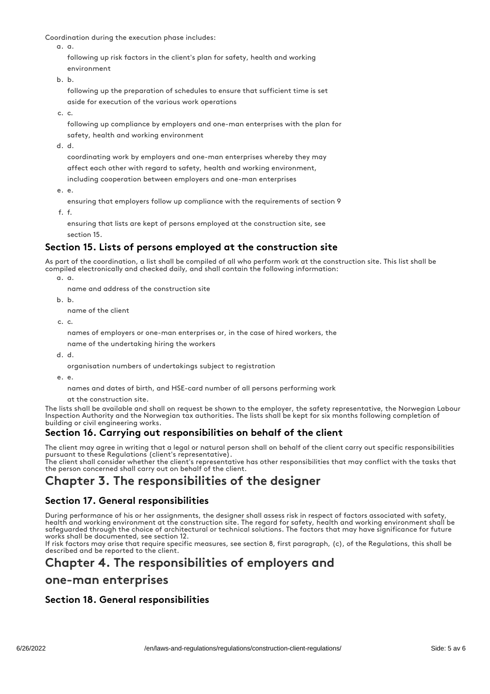Coordination during the execution phase includes:

a. a.

following up risk factors in the client's plan for safety, health and working environment

b. b.

following up the preparation of schedules to ensure that sufficient time is set aside for execution of the various work operations

c. c.

following up compliance by employers and one-man enterprises with the plan for safety, health and working environment

d. d.

coordinating work by employers and one-man enterprises whereby they may affect each other with regard to safety, health and working environment,

including cooperation between employers and one-man enterprises

e. e.

ensuring that employers follow up compliance with the requirements of section 9

f. f.

ensuring that lists are kept of persons employed at the construction site, see section 15.

#### Section 15. Lists of persons employed at the construction site

As part of the coordination, a list shall be compiled of all who perform work at the construction site. This list shall be compiled electronically and checked daily, and shall contain the following information:

a. a.

- name and address of the construction site
- b. b.

name of the client

c. c.

names of employers or one-man enterprises or, in the case of hired workers, the

name of the undertaking hiring the workers

d. d.

organisation numbers of undertakings subject to registration

e. e.

names and dates of birth, and HSE-card number of all persons performing work

at the construction site.

The lists shall be available and shall on request be shown to the employer, the safety representative, the Norwegian Labour Inspection Authority and the Norwegian tax authorities. The lists shall be kept for six months following completion of building or civil engineering works.

#### Section 16. Carrying out responsibilities on behalf of the client

The client may agree in writing that a legal or natural person shall on behalf of the client carry out specific responsibilities pursuant to these Regulations (client's representative).

The client shall consider whether the client's representative has other responsibilities that may conflict with the tasks that the person concerned shall carry out on behalf of the client.

# Chapter 3. The responsibilities of the designer

#### Section 17. General responsibilities

During performance of his or her assignments, the designer shall assess risk in respect of factors associated with safety, health and working environment at the construction site. The regard for safety, health and working environment shall be safeguarded through the choice of architectural or technical solutions. The factors that may have significance for future works shall be documented, see section 12.

If risk factors may arise that require specific measures, see section 8, first paragraph, (c), of the Regulations, this shall be described and be reported to the client.

# Chapter 4. The responsibilities of employers and

### one-man enterprises

#### Section 18. General responsibilities